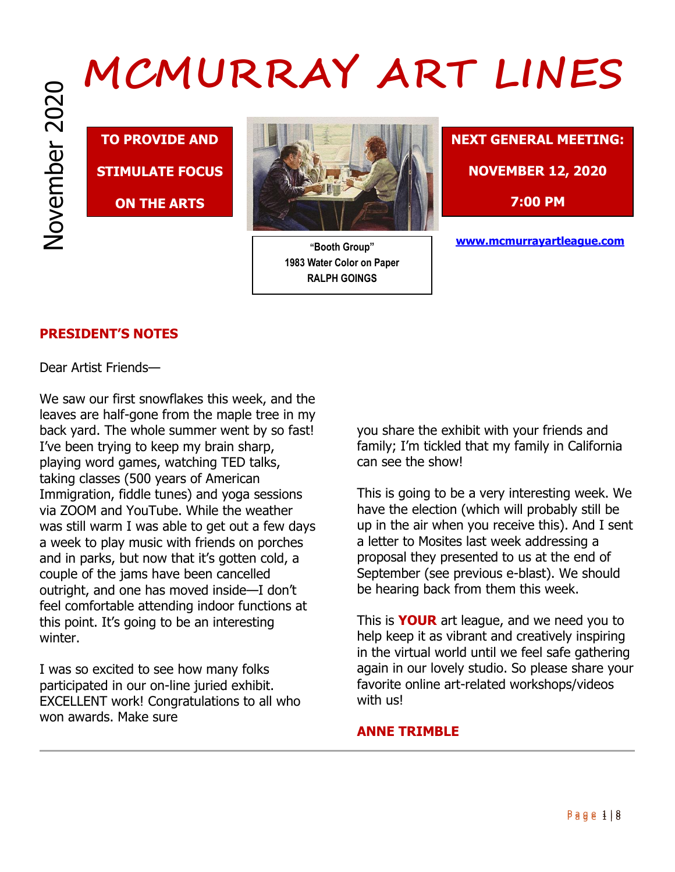**TO PROVIDE AND STIMULATE FOCUS** 

**ON THE ARTS**



**"Booth Group" 1983 Water Color on Paper RALPH GOINGS**



**www.mcmurrayartleague.com**

# **PRESIDENT'S NOTES**

Dear Artist Friends—

We saw our first snowflakes this week, and the leaves are half-gone from the maple tree in my back yard. The whole summer went by so fast! I've been trying to keep my brain sharp, playing word games, watching TED talks, taking classes (500 years of American Immigration, fiddle tunes) and yoga sessions via ZOOM and YouTube. While the weather was still warm I was able to get out a few days a week to play music with friends on porches and in parks, but now that it's gotten cold, a couple of the jams have been cancelled outright, and one has moved inside—I don't feel comfortable attending indoor functions at this point. It's going to be an interesting winter.

I was so excited to see how many folks participated in our on-line juried exhibit. EXCELLENT work! Congratulations to all who won awards. Make sure

you share the exhibit with your friends and family; I'm tickled that my family in California can see the show!

This is going to be a very interesting week. We have the election (which will probably still be up in the air when you receive this). And I sent a letter to Mosites last week addressing a proposal they presented to us at the end of September (see previous e-blast). We should be hearing back from them this week.

This is **YOUR** art league, and we need you to help keep it as vibrant and creatively inspiring in the virtual world until we feel safe gathering again in our lovely studio. So please share your favorite online art-related workshops/videos with us!

# **ANNE TRIMBLE**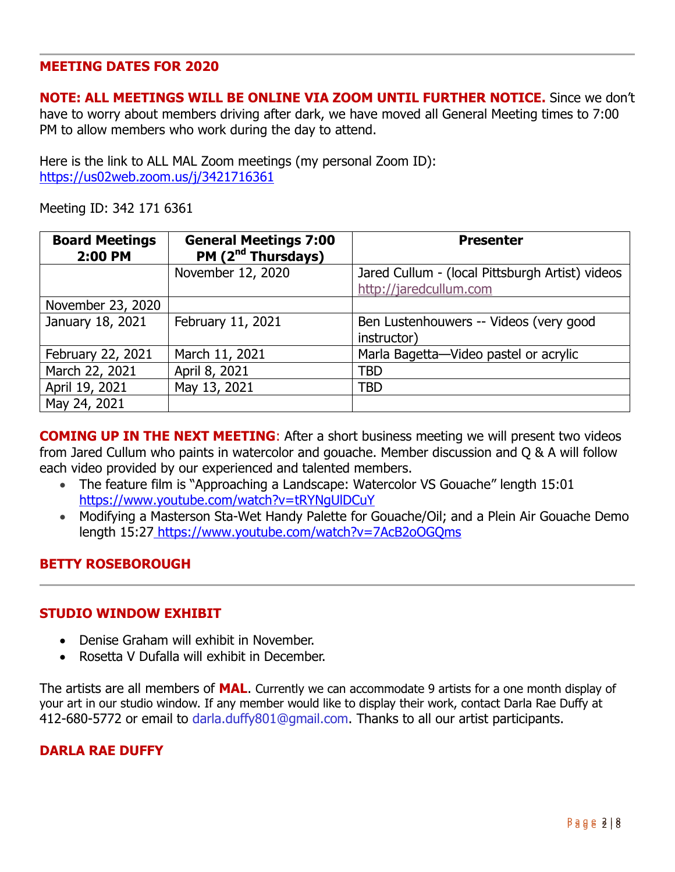### **MEETING DATES FOR 2020**

**NOTE: ALL MEETINGS WILL BE ONLINE VIA ZOOM UNTIL FURTHER NOTICE.** Since we don't have to worry about members driving after dark, we have moved all General Meeting times to 7:00 PM to allow members who work during the day to attend.

Here is the link to ALL MAL Zoom meetings (my personal Zoom ID): https://us02web.zoom.us/j/3421716361

Meeting ID: 342 171 6361

| <b>Board Meetings</b><br>2:00 PM | <b>General Meetings 7:00</b><br>PM (2 <sup>nd</sup> Thursdays) | <b>Presenter</b>                                                          |
|----------------------------------|----------------------------------------------------------------|---------------------------------------------------------------------------|
|                                  | November 12, 2020                                              | Jared Cullum - (local Pittsburgh Artist) videos<br>http://jaredcullum.com |
| November 23, 2020                |                                                                |                                                                           |
| January 18, 2021                 | February 11, 2021                                              | Ben Lustenhouwers -- Videos (very good<br>instructor)                     |
| February 22, 2021                | March 11, 2021                                                 | Marla Bagetta-Video pastel or acrylic                                     |
| March 22, 2021                   | April 8, 2021                                                  | TBD                                                                       |
| April 19, 2021                   | May 13, 2021                                                   | <b>TBD</b>                                                                |
| May 24, 2021                     |                                                                |                                                                           |

**COMING UP IN THE NEXT MEETING:** After a short business meeting we will present two videos from Jared Cullum who paints in watercolor and gouache. Member discussion and Q & A will follow each video provided by our experienced and talented members.

- The feature film is "Approaching a Landscape: Watercolor VS Gouache" length 15:01 https://www.youtube.com/watch?v=tRYNgUlDCuY
- Modifying a Masterson Sta-Wet Handy Palette for Gouache/Oil; and a Plein Air Gouache Demo length 15:27 https://www.youtube.com/watch?v=7AcB2oOGQms

# **BETTY ROSEBOROUGH**

#### **STUDIO WINDOW EXHIBIT**

- Denise Graham will exhibit in November.
- Rosetta V Dufalla will exhibit in December.

The artists are all members of **MAL**. Currently we can accommodate 9 artists for a one month display of your art in our studio window. If any member would like to display their work, contact Darla Rae Duffy at 412-680-5772 or email to darla.duffy801@gmail.com. Thanks to all our artist participants.

# **DARLA RAE DUFFY**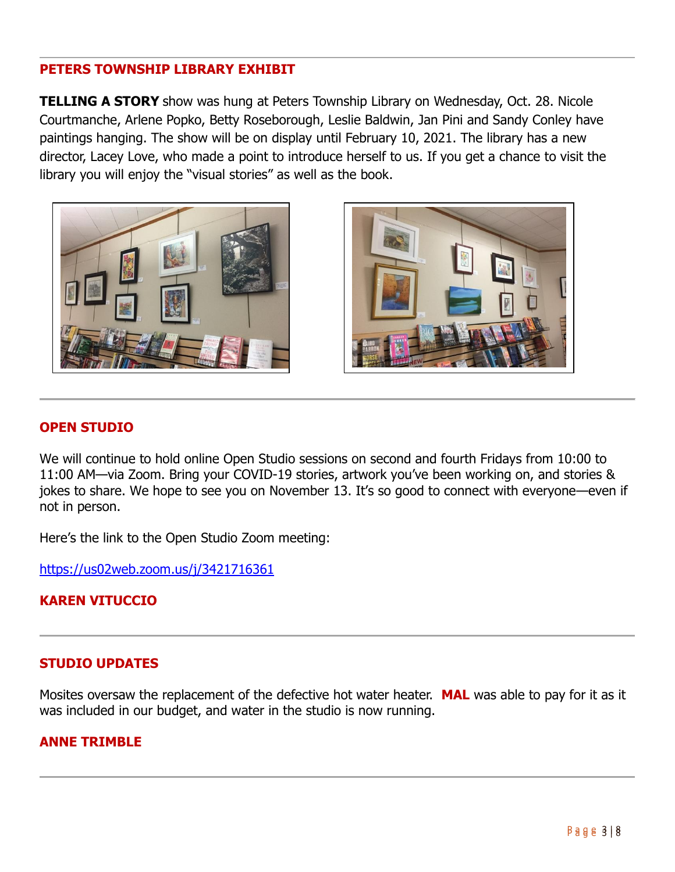# **PETERS TOWNSHIP LIBRARY EXHIBIT**

**TELLING A STORY** show was hung at Peters Township Library on Wednesday, Oct. 28. Nicole Courtmanche, Arlene Popko, Betty Roseborough, Leslie Baldwin, Jan Pini and Sandy Conley have paintings hanging. The show will be on display until February 10, 2021. The library has a new director, Lacey Love, who made a point to introduce herself to us. If you get a chance to visit the library you will enjoy the "visual stories" as well as the book.





# **OPEN STUDIO**

We will continue to hold online Open Studio sessions on second and fourth Fridays from 10:00 to 11:00 AM—via Zoom. Bring your COVID-19 stories, artwork you've been working on, and stories & jokes to share. We hope to see you on November 13. It's so good to connect with everyone—even if not in person.

Here's the link to the Open Studio Zoom meeting:

https://us02web.zoom.us/j/3421716361

# **KAREN VITUCCIO**

# **STUDIO UPDATES**

Mosites oversaw the replacement of the defective hot water heater. **MAL** was able to pay for it as it was included in our budget, and water in the studio is now running.

# **ANNE TRIMBLE**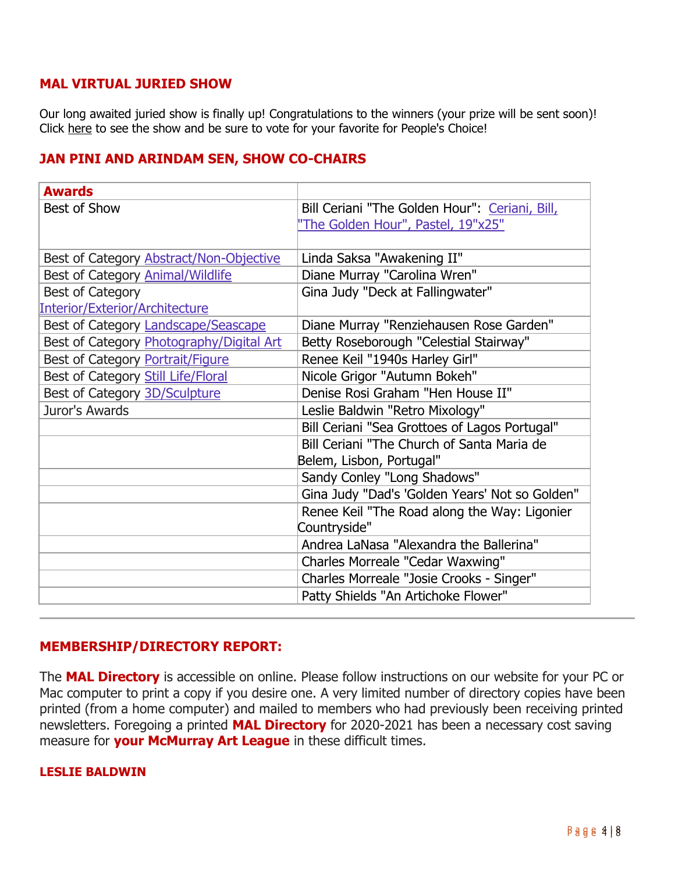# **MAL VIRTUAL JURIED SHOW**

Our long awaited juried show is finally up! Congratulations to the winners (your prize will be sent soon)! Click here to see the show and be sure to vote for your favorite for People's Choice!

# **JAN PINI AND ARINDAM SEN, SHOW CO-CHAIRS**

| <b>Awards</b>                            |                                                |
|------------------------------------------|------------------------------------------------|
| Best of Show                             | Bill Ceriani "The Golden Hour": Ceriani, Bill, |
|                                          | 'The Golden Hour", Pastel, 19"x25"             |
|                                          |                                                |
| Best of Category Abstract/Non-Objective  | Linda Saksa "Awakening II"                     |
| Best of Category Animal/Wildlife         | Diane Murray "Carolina Wren"                   |
| <b>Best of Category</b>                  | Gina Judy "Deck at Fallingwater"               |
| Interior/Exterior/Architecture           |                                                |
| Best of Category Landscape/Seascape      | Diane Murray "Renziehausen Rose Garden"        |
| Best of Category Photography/Digital Art | Betty Roseborough "Celestial Stairway"         |
| Best of Category Portrait/Figure         | Renee Keil "1940s Harley Girl"                 |
| Best of Category Still Life/Floral       | Nicole Grigor "Autumn Bokeh"                   |
| Best of Category 3D/Sculpture            | Denise Rosi Graham "Hen House II"              |
| Juror's Awards                           | Leslie Baldwin "Retro Mixology"                |
|                                          | Bill Ceriani "Sea Grottoes of Lagos Portugal"  |
|                                          | Bill Ceriani "The Church of Santa Maria de     |
|                                          | Belem, Lisbon, Portugal"                       |
|                                          | Sandy Conley "Long Shadows"                    |
|                                          | Gina Judy "Dad's 'Golden Years' Not so Golden" |
|                                          | Renee Keil "The Road along the Way: Ligonier   |
|                                          | Countryside"                                   |
|                                          | Andrea LaNasa "Alexandra the Ballerina"        |
|                                          | Charles Morreale "Cedar Waxwing"               |
|                                          | Charles Morreale "Josie Crooks - Singer"       |
|                                          | Patty Shields "An Artichoke Flower"            |

# **MEMBERSHIP/DIRECTORY REPORT:**

The **MAL Directory** is accessible on online. Please follow instructions on our website for your PC or Mac computer to print a copy if you desire one. A very limited number of directory copies have been printed (from a home computer) and mailed to members who had previously been receiving printed newsletters. Foregoing a printed **MAL Directory** for 2020-2021 has been a necessary cost saving measure for **your McMurray Art League** in these difficult times.

#### **LESLIE BALDWIN**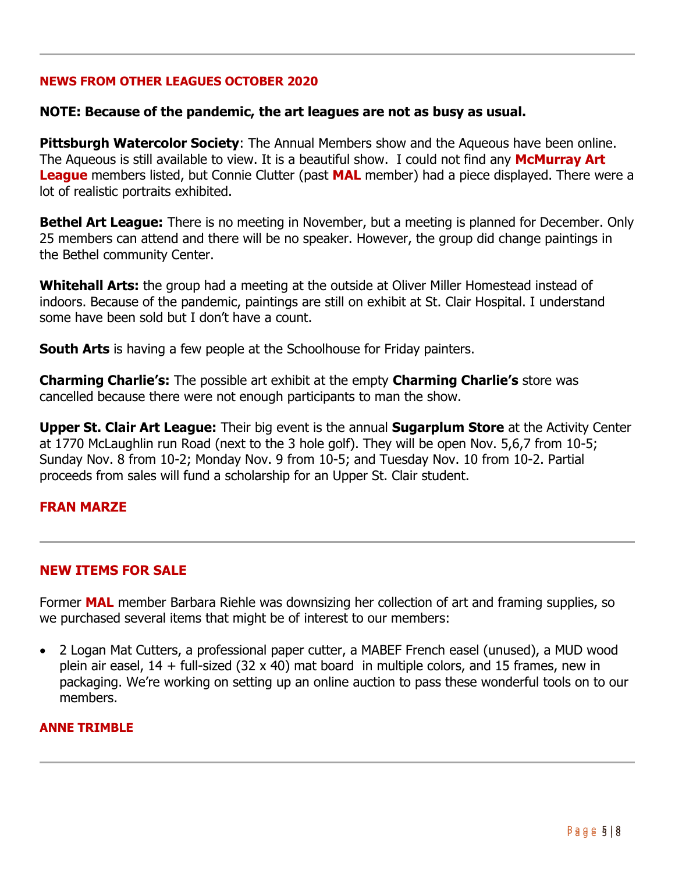### **NEWS FROM OTHER LEAGUES OCTOBER 2020**

### **NOTE: Because of the pandemic, the art leagues are not as busy as usual.**

**Pittsburgh Watercolor Society**: The Annual Members show and the Aqueous have been online. The Aqueous is still available to view. It is a beautiful show. I could not find any **McMurray Art League** members listed, but Connie Clutter (past **MAL** member) had a piece displayed. There were a lot of realistic portraits exhibited.

**Bethel Art League:** There is no meeting in November, but a meeting is planned for December. Only 25 members can attend and there will be no speaker. However, the group did change paintings in the Bethel community Center.

**Whitehall Arts:** the group had a meeting at the outside at Oliver Miller Homestead instead of indoors. Because of the pandemic, paintings are still on exhibit at St. Clair Hospital. I understand some have been sold but I don't have a count.

**South Arts** is having a few people at the Schoolhouse for Friday painters.

**Charming Charlie's:** The possible art exhibit at the empty **Charming Charlie's** store was cancelled because there were not enough participants to man the show.

**Upper St. Clair Art League:** Their big event is the annual **Sugarplum Store** at the Activity Center at 1770 McLaughlin run Road (next to the 3 hole golf). They will be open Nov. 5,6,7 from 10-5; Sunday Nov. 8 from 10-2; Monday Nov. 9 from 10-5; and Tuesday Nov. 10 from 10-2. Partial proceeds from sales will fund a scholarship for an Upper St. Clair student.

#### **FRAN MARZE**

# **NEW ITEMS FOR SALE**

Former **MAL** member Barbara Riehle was downsizing her collection of art and framing supplies, so we purchased several items that might be of interest to our members:

 2 Logan Mat Cutters, a professional paper cutter, a MABEF French easel (unused), a MUD wood plein air easel,  $14 +$  full-sized (32 x 40) mat board in multiple colors, and 15 frames, new in packaging. We're working on setting up an online auction to pass these wonderful tools on to our members.

#### **ANNE TRIMBLE**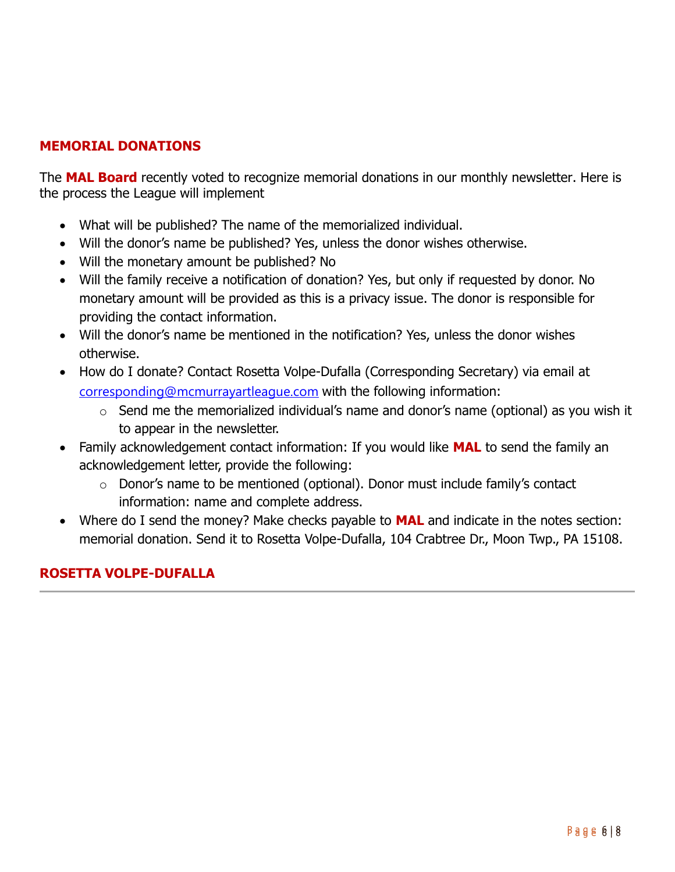# **MEMORIAL DONATIONS**

The **MAL Board** recently voted to recognize memorial donations in our monthly newsletter. Here is the process the League will implement

- What will be published? The name of the memorialized individual.
- Will the donor's name be published? Yes, unless the donor wishes otherwise.
- Will the monetary amount be published? No
- Will the family receive a notification of donation? Yes, but only if requested by donor. No monetary amount will be provided as this is a privacy issue. The donor is responsible for providing the contact information.
- Will the donor's name be mentioned in the notification? Yes, unless the donor wishes otherwise.
- How do I donate? Contact Rosetta Volpe-Dufalla (Corresponding Secretary) via email at corresponding@mcmurrayartleague.com with the following information:
	- o Send me the memorialized individual's name and donor's name (optional) as you wish it to appear in the newsletter.
- Family acknowledgement contact information: If you would like **MAL** to send the family an acknowledgement letter, provide the following:
	- $\circ$  Donor's name to be mentioned (optional). Donor must include family's contact information: name and complete address.
- Where do I send the money? Make checks payable to **MAL** and indicate in the notes section: memorial donation. Send it to Rosetta Volpe-Dufalla, 104 Crabtree Dr., Moon Twp., PA 15108.

# **ROSETTA VOLPE-DUFALLA**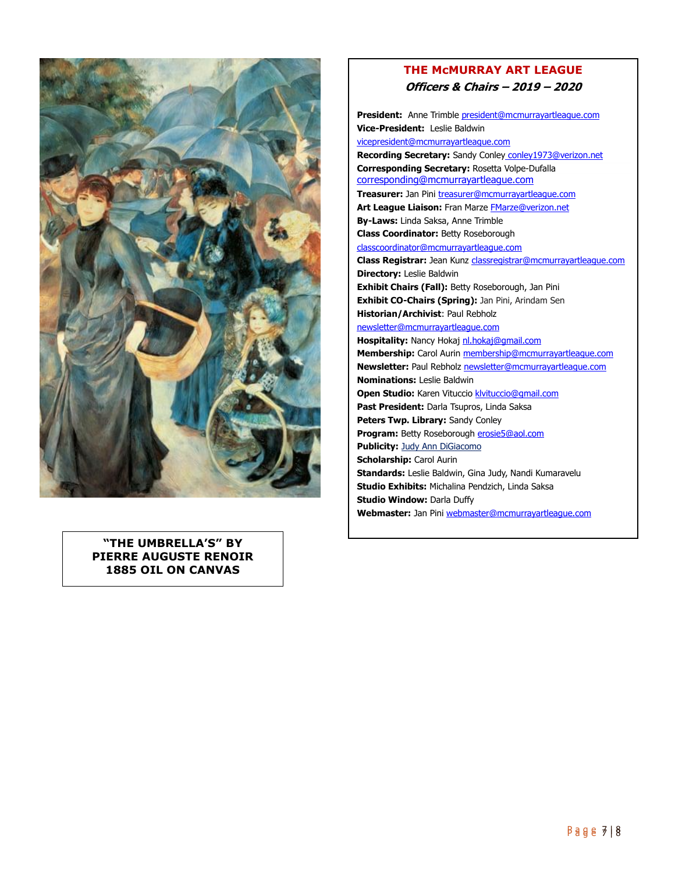

**"THE UMBRELLA'S" BY PIERRE AUGUSTE RENOIR 1885 OIL ON CANVAS**

#### **THE McMURRAY ART LEAGUE Officers & Chairs – 2019 – 2020**

**President:** Anne Trimble president@mcmurrayartleague.com **Vice-President:** Leslie Baldwin vicepresident@mcmurrayartleague.com **Recording Secretary:** Sandy Conley conley 1973@verizon.net **Corresponding Secretary:** Rosetta Volpe-Dufalla corresponding@mcmurrayartleague.com **Treasurer:** Jan Pini treasurer@mcmurrayartleague.com Art League Liaison: Fran Marze **FMarze@verizon.net By-Laws:** Linda Saksa, Anne Trimble **Class Coordinator:** Betty Roseborough classcoordinator@mcmurrayartleague.com **Class Registrar:** Jean Kunz classregistrar@mcmurrayartleague.com **Directory:** Leslie Baldwin **Exhibit Chairs (Fall):** Betty Roseborough, Jan Pini **Exhibit CO-Chairs (Spring):** Jan Pini, Arindam Sen **Historian/Archivist**: Paul Rebholz newsletter@mcmurrayartleague.com Hospitality: Nancy Hokaj nl.hokaj@gmail.com **Membership:** Carol Aurin membership@mcmurrayartleague.com **Newsletter:** Paul Rebholz newsletter@mcmurrayartleague.com **Nominations:** Leslie Baldwin **Open Studio:** Karen Vituccio klvituccio@gmail.com **Past President:** Darla Tsupros, Linda Saksa **Peters Twp. Library:** Sandy Conley **Program:** Betty Roseborough erosie5@aol.com **Publicity: Judy Ann DiGiacomo Scholarship:** Carol Aurin **Standards:** Leslie Baldwin, Gina Judy, Nandi Kumaravelu **Studio Exhibits:** Michalina Pendzich, Linda Saksa **Studio Window:** Darla Duffy **Webmaster:** Jan Pini webmaster@mcmurrayartleague.com